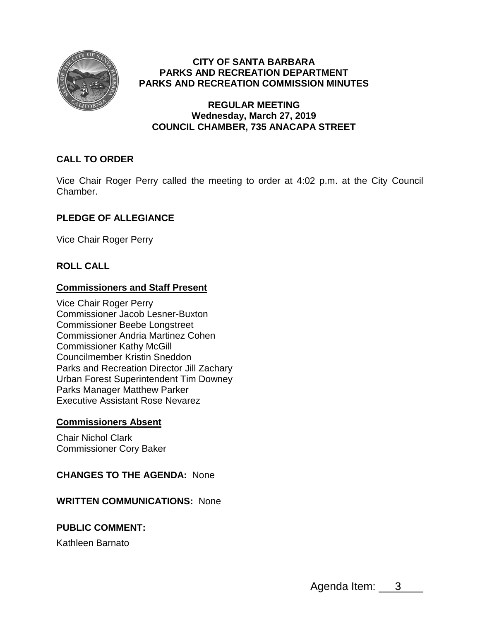

## **CITY OF SANTA BARBARA PARKS AND RECREATION DEPARTMENT PARKS AND RECREATION COMMISSION MINUTES**

### **REGULAR MEETING Wednesday, March 27, 2019 COUNCIL CHAMBER, 735 ANACAPA STREET**

# **CALL TO ORDER**

Vice Chair Roger Perry called the meeting to order at 4:02 p.m. at the City Council Chamber.

# **PLEDGE OF ALLEGIANCE**

Vice Chair Roger Perry

## **ROLL CALL**

## **Commissioners and Staff Present**

Vice Chair Roger Perry Commissioner Jacob Lesner-Buxton Commissioner Beebe Longstreet Commissioner Andria Martinez Cohen Commissioner Kathy McGill Councilmember Kristin Sneddon Parks and Recreation Director Jill Zachary Urban Forest Superintendent Tim Downey Parks Manager Matthew Parker Executive Assistant Rose Nevarez

## **Commissioners Absent**

Chair Nichol Clark Commissioner Cory Baker

### **CHANGES TO THE AGENDA:** None

### **WRITTEN COMMUNICATIONS:** None

## **PUBLIC COMMENT:**

Kathleen Barnato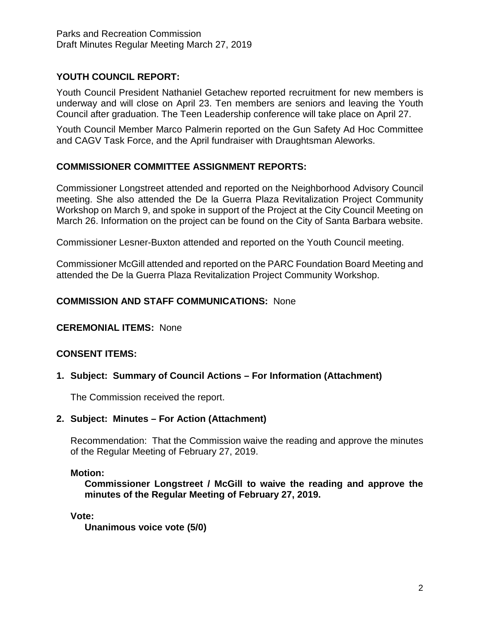# **YOUTH COUNCIL REPORT:**

Youth Council President Nathaniel Getachew reported recruitment for new members is underway and will close on April 23. Ten members are seniors and leaving the Youth Council after graduation. The Teen Leadership conference will take place on April 27.

Youth Council Member Marco Palmerin reported on the Gun Safety Ad Hoc Committee and CAGV Task Force, and the April fundraiser with Draughtsman Aleworks.

### **COMMISSIONER COMMITTEE ASSIGNMENT REPORTS:**

Commissioner Longstreet attended and reported on the Neighborhood Advisory Council meeting. She also attended the De la Guerra Plaza Revitalization Project Community Workshop on March 9, and spoke in support of the Project at the City Council Meeting on March 26. Information on the project can be found on the City of Santa Barbara website.

Commissioner Lesner-Buxton attended and reported on the Youth Council meeting.

Commissioner McGill attended and reported on the PARC Foundation Board Meeting and attended the De la Guerra Plaza Revitalization Project Community Workshop.

### **COMMISSION AND STAFF COMMUNICATIONS:** None

### **CEREMONIAL ITEMS:** None

### **CONSENT ITEMS:**

### **1. Subject: Summary of Council Actions – For Information (Attachment)**

The Commission received the report.

#### **2. Subject: Minutes – For Action (Attachment)**

Recommendation: That the Commission waive the reading and approve the minutes of the Regular Meeting of February 27, 2019.

#### **Motion:**

**Commissioner Longstreet / McGill to waive the reading and approve the minutes of the Regular Meeting of February 27, 2019.**

**Vote:**

**Unanimous voice vote (5/0)**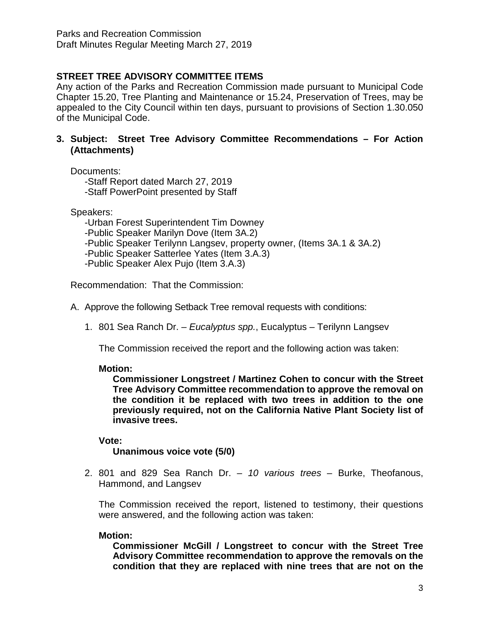# **STREET TREE ADVISORY COMMITTEE ITEMS**

Any action of the Parks and Recreation Commission made pursuant to Municipal Code Chapter 15.20, Tree Planting and Maintenance or 15.24, Preservation of Trees, may be appealed to the City Council within ten days, pursuant to provisions of Section 1.30.050 of the Municipal Code.

### **3. Subject: Street Tree Advisory Committee Recommendations – For Action (Attachments)**

Documents:

-Staff Report dated March 27, 2019 -Staff PowerPoint presented by Staff

Speakers:

-Urban Forest Superintendent Tim Downey

-Public Speaker Marilyn Dove (Item 3A.2)

-Public Speaker Terilynn Langsev, property owner, (Items 3A.1 & 3A.2)

-Public Speaker Satterlee Yates (Item 3.A.3)

-Public Speaker Alex Pujo (Item 3.A.3)

Recommendation: That the Commission:

- A. Approve the following Setback Tree removal requests with conditions:
	- 1. 801 Sea Ranch Dr. *Eucalyptus spp.*, Eucalyptus Terilynn Langsev

The Commission received the report and the following action was taken:

## **Motion:**

**Commissioner Longstreet / Martinez Cohen to concur with the Street Tree Advisory Committee recommendation to approve the removal on the condition it be replaced with two trees in addition to the one previously required, not on the California Native Plant Society list of invasive trees.**

## **Vote:**

**Unanimous voice vote (5/0)**

2. 801 and 829 Sea Ranch Dr. – *10 various trees* – Burke, Theofanous, Hammond, and Langsev

The Commission received the report, listened to testimony, their questions were answered, and the following action was taken:

### **Motion:**

**Commissioner McGill / Longstreet to concur with the Street Tree Advisory Committee recommendation to approve the removals on the condition that they are replaced with nine trees that are not on the**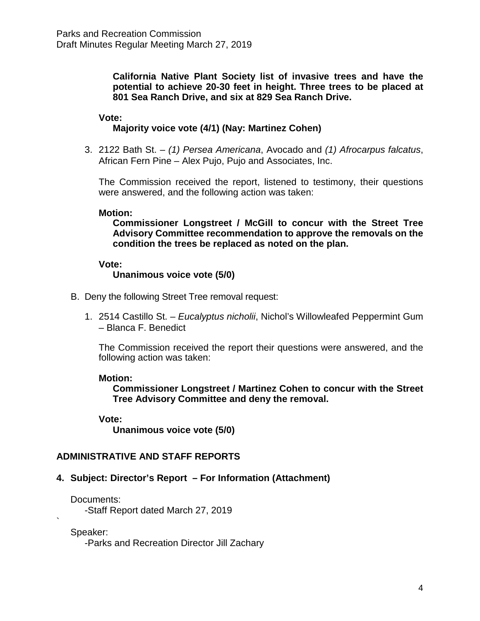**California Native Plant Society list of invasive trees and have the potential to achieve 20-30 feet in height. Three trees to be placed at 801 Sea Ranch Drive, and six at 829 Sea Ranch Drive.**

#### **Vote:**

#### **Majority voice vote (4/1) (Nay: Martinez Cohen)**

3. 2122 Bath St. – *(1) Persea Americana*, Avocado and *(1) Afrocarpus falcatus*, African Fern Pine – Alex Pujo, Pujo and Associates, Inc.

The Commission received the report, listened to testimony, their questions were answered, and the following action was taken:

#### **Motion:**

**Commissioner Longstreet / McGill to concur with the Street Tree Advisory Committee recommendation to approve the removals on the condition the trees be replaced as noted on the plan.**

#### **Vote:**

#### **Unanimous voice vote (5/0)**

- B. Deny the following Street Tree removal request:
	- 1. 2514 Castillo St. *Eucalyptus nicholii*, Nichol's Willowleafed Peppermint Gum – Blanca F. Benedict

The Commission received the report their questions were answered, and the following action was taken:

#### **Motion:**

**Commissioner Longstreet / Martinez Cohen to concur with the Street Tree Advisory Committee and deny the removal.**

#### **Vote:**

**Unanimous voice vote (5/0)**

#### **ADMINISTRATIVE AND STAFF REPORTS**

#### **4. Subject: Director's Report – For Information (Attachment)**

Documents:

-Staff Report dated March 27, 2019

Speaker:

`

-Parks and Recreation Director Jill Zachary